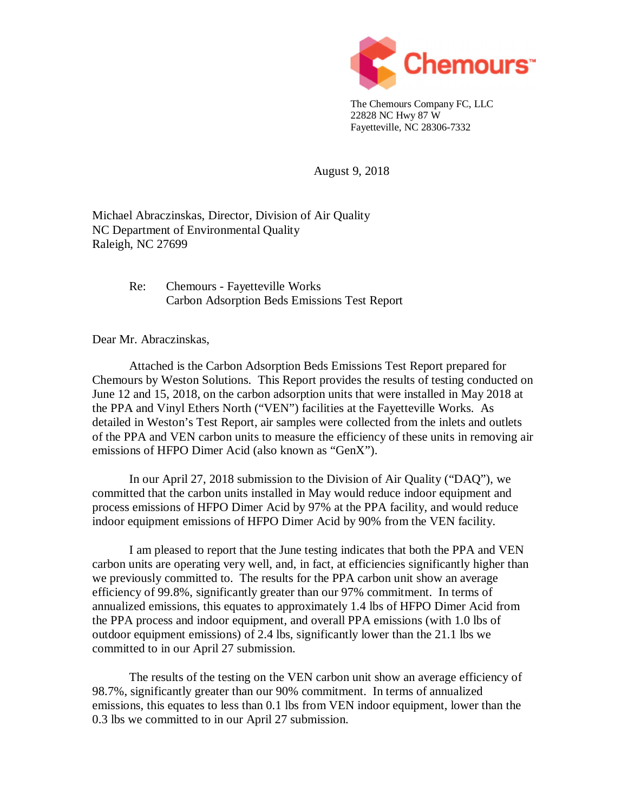

The Chemours Company FC, LLC 22828 NC Hwy 87 W Fayetteville, NC 28306-7332

August 9, 2018

Michael Abraczinskas, Director, Division of Air Quality NC Department of Environmental Quality Raleigh, NC 27699

> Re: Chemours - Fayetteville Works Carbon Adsorption Beds Emissions Test Report

Dear Mr. Abraczinskas,

Attached is the Carbon Adsorption Beds Emissions Test Report prepared for Chemours by Weston Solutions. This Report provides the results of testing conducted on June 12 and 15, 2018, on the carbon adsorption units that were installed in May 2018 at the PPA and Vinyl Ethers North ("VEN") facilities at the Fayetteville Works. As detailed in Weston's Test Report, air samples were collected from the inlets and outlets of the PPA and VEN carbon units to measure the efficiency of these units in removing air emissions of HFPO Dimer Acid (also known as "GenX").

In our April 27, 2018 submission to the Division of Air Quality ("DAQ"), we committed that the carbon units installed in May would reduce indoor equipment and process emissions of HFPO Dimer Acid by 97% at the PPA facility, and would reduce indoor equipment emissions of HFPO Dimer Acid by 90% from the VEN facility.

I am pleased to report that the June testing indicates that both the PPA and VEN carbon units are operating very well, and, in fact, at efficiencies significantly higher than we previously committed to. The results for the PPA carbon unit show an average efficiency of 99.8%, significantly greater than our 97% commitment. In terms of annualized emissions, this equates to approximately 1.4 lbs of HFPO Dimer Acid from the PPA process and indoor equipment, and overall PPA emissions (with 1.0 lbs of outdoor equipment emissions) of 2.4 lbs, significantly lower than the 21.1 lbs we committed to in our April 27 submission.

The results of the testing on the VEN carbon unit show an average efficiency of 98.7%, significantly greater than our 90% commitment. In terms of annualized emissions, this equates to less than 0.1 lbs from VEN indoor equipment, lower than the 0.3 lbs we committed to in our April 27 submission.